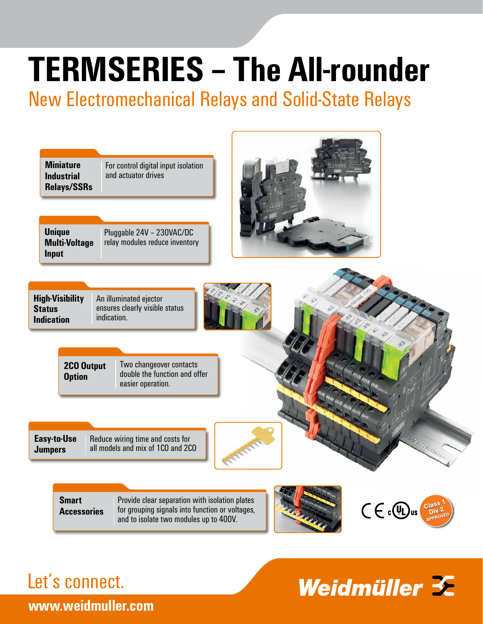# **TERMSERIES – The All-rounder**

New Electromechanical Relays and Solid-State Relays

| <b>Miniature</b>   |
|--------------------|
| Industrial         |
| <b>Relays/SSRs</b> |

For control digital input isolation and actuator drives



Pluggable 24V – 230VAC/DC relay modules reduce inventory



| <b>High-Visibility</b> | An illuminated ejector         |
|------------------------|--------------------------------|
| <b>Status</b>          | ensures clearly visible status |
| <b>Indication</b>      | indication.                    |

**2CO Output Option**

Two changeover contacts double the function and offer easier operation.

Reduce wiring time and costs for all models and mix of 1CO and 2CO **Easy-to-Use Jumpers**



**Smart Accessories**

Provide clear separation with isolation plates for grouping signals into function or voltages, and to isolate two modules up to 400V.





### Let's connect.

## Weidmüller  $\mathcal{F}$

**www.weidmuller.com**